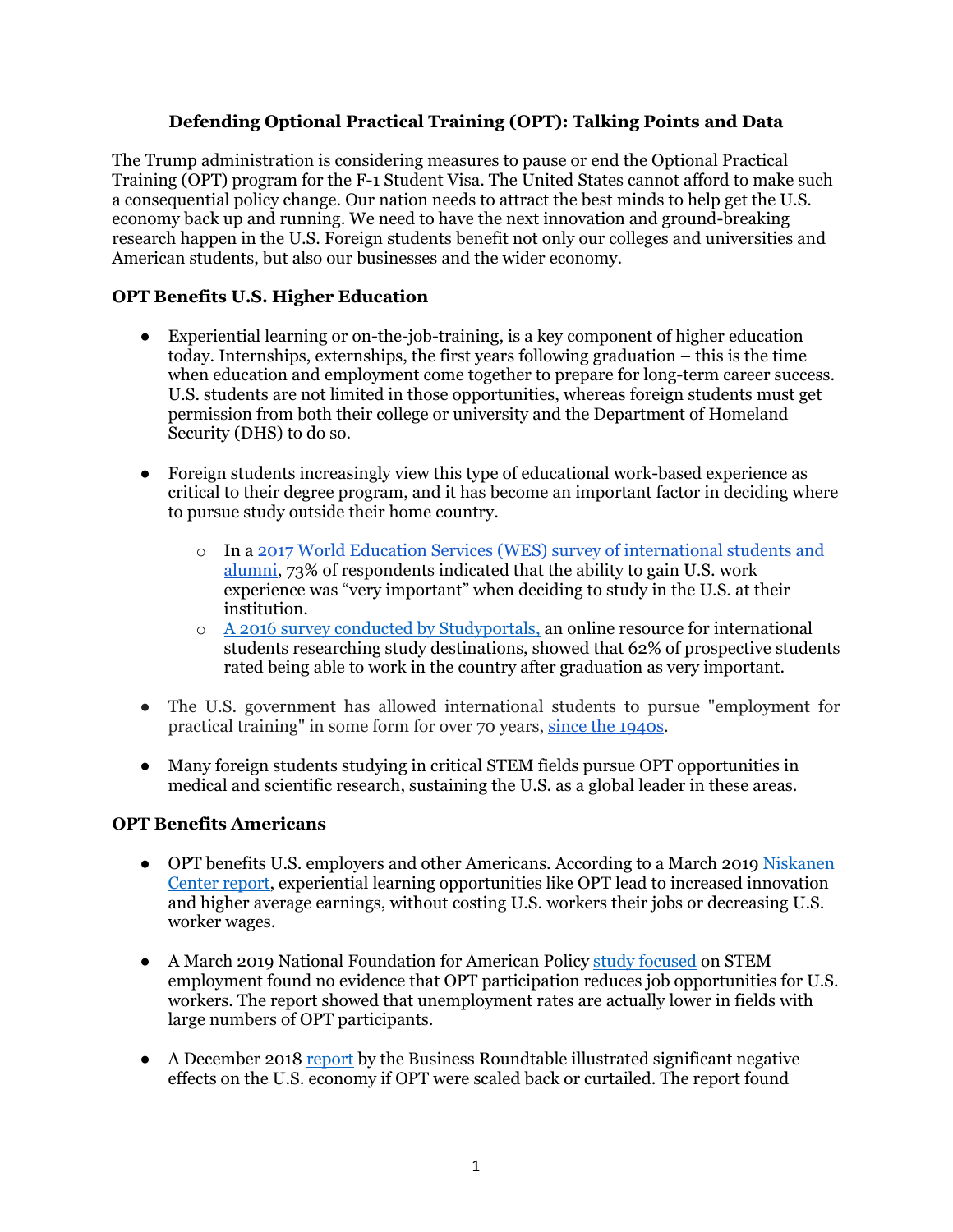# **Defending Optional Practical Training (OPT): Talking Points and Data**

The Trump administration is considering measures to pause or end the Optional Practical Training (OPT) program for the F-1 Student Visa. The United States cannot afford to make such a consequential policy change. Our nation needs to attract the best minds to help get the U.S. economy back up and running. We need to have the next innovation and ground-breaking research happen in the U.S. Foreign students benefit not only our colleges and universities and American students, but also our businesses and the wider economy.

# **OPT Benefits U.S. Higher Education**

- Experiential learning or on-the-job-training, is a key component of higher education today. Internships, externships, the first years following graduation – this is the time when education and employment come together to prepare for long-term career success. U.S. students are not limited in those opportunities, whereas foreign students must get permission from both their college or university and the Department of Homeland Security (DHS) to do so.
- Foreign students increasingly view this type of educational work-based experience as critical to their degree program, and it has become an important factor in deciding where to pursue study outside their home country.
	- o In a [2017 World Education Services \(WES\) survey of international students and](https://wenr.wes.org/2017/10/career-expectations-experiences-and-outcomes-of-u-s-educated-international-students-what-we-learned)  [alumni,](https://wenr.wes.org/2017/10/career-expectations-experiences-and-outcomes-of-u-s-educated-international-students-what-we-learned) 73% of respondents indicated that the ability to gain U.S. work experience was "very important" when deciding to study in the U.S. at their institution.
	- o [A 2016 survey conducted by Studyportals,](https://studyportals.com/blog/one-year-later-international-students-changing-perceptions-of-the-u-s/) an online resource for international students researching study destinations, showed that 62% of prospective students rated being able to work in the country after graduation as very important.
- The U.S. government has allowed international students to pursue "employment for practical training" in some form for over 70 years, [since the 1940s.](https://tile.loc.gov/storage-services/service/ll/fedreg/fr012/fr012154/fr012154.pdf)
- Many foreign students studying in critical STEM fields pursue OPT opportunities in medical and scientific research, sustaining the U.S. as a global leader in these areas.

### **OPT Benefits Americans**

- OPT benefits U.S. employers and other Americans. According to a March 2019 Niskanen [Center report,](https://www.niskanencenter.org/wp-content/uploads/old_uploads/2019/03/OPT.pdf) experiential learning opportunities like OPT lead to increased innovation and higher average earnings, without costing U.S. workers their jobs or decreasing U.S. worker wages.
- A March 2019 National Foundation for American Policy [study focused](https://nfap.com/wp-content/uploads/2019/03/International-Students-STEM-OPT-And-The-US-STEM-Workforce.NFAP-Policy-Brief.March-2019.pdf) on STEM employment found no evidence that OPT participation reduces job opportunities for U.S. workers. The report showed that unemployment rates are actually lower in fields with large numbers of OPT participants.
- A December 2018 [report](https://www.businessroundtable.org/policy-perspectives/immigration/economic-impact-curbing-optional-practical-training-program) by the Business Roundtable illustrated significant negative effects on the U.S. economy if OPT were scaled back or curtailed. The report found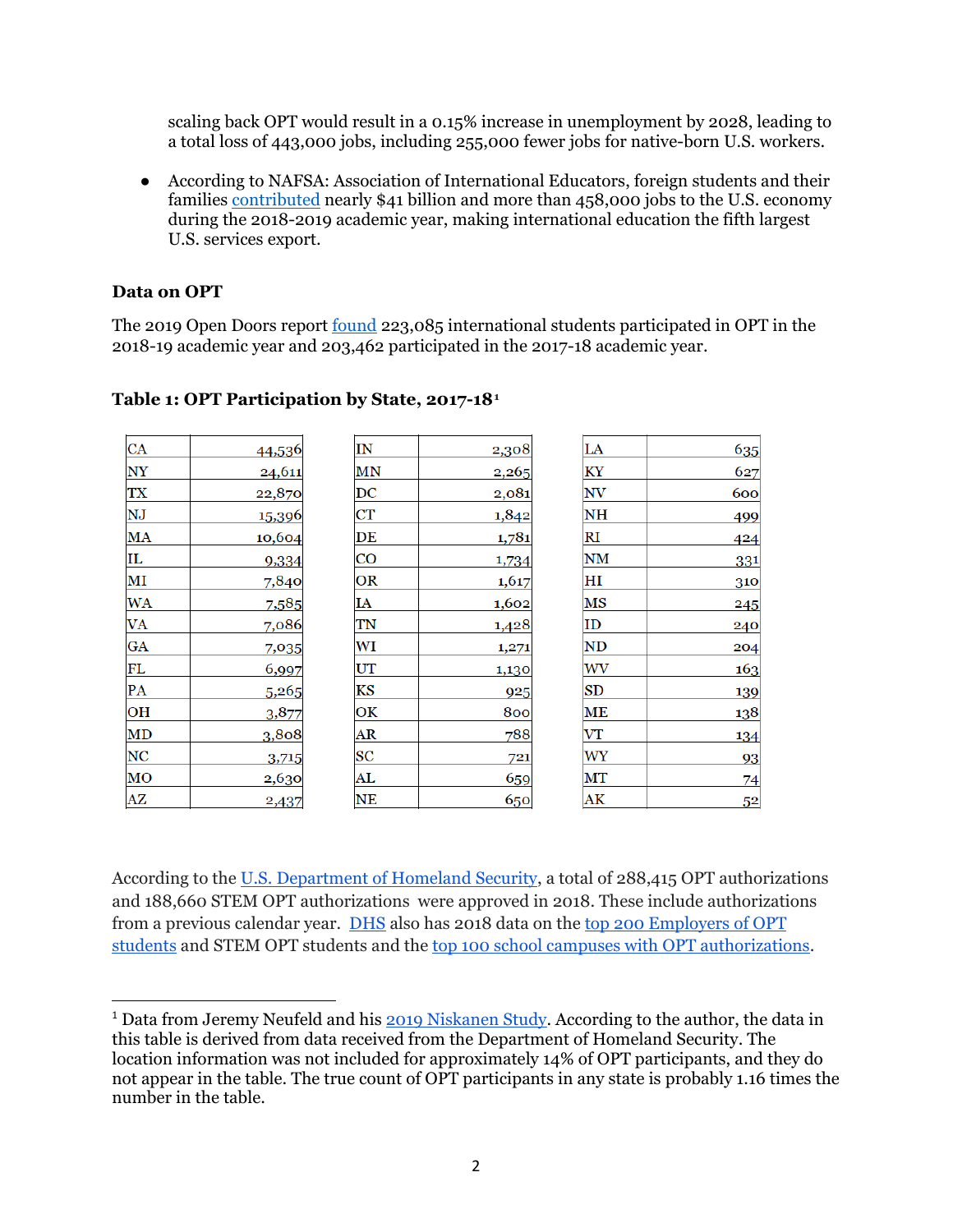scaling back OPT would result in a 0.15% increase in unemployment by 2028, leading to a total loss of 443,000 jobs, including 255,000 fewer jobs for native-born U.S. workers.

● According to NAFSA: Association of International Educators, foreign students and their families [contributed](https://www.nafsa.org/policy-and-advocacy/policy-resources/nafsa-international-student-economic-value-tool-v2) nearly \$41 billion and more than 458,000 jobs to the U.S. economy during the 2018-2019 academic year, making international education the fifth largest U.S. services export.

### **Data on OPT**

The 2019 Open Doors report <u>found</u> 223,085 international students participated in OPT in the 2018-19 academic year and 203,462 participated in the 2017-18 academic year.

| <b>CA</b>              | 44,536 | IN                     | 2,308 | LA            | 635            |
|------------------------|--------|------------------------|-------|---------------|----------------|
| $\overline{\text{NY}}$ | 24,611 | MN                     | 2,265 | ΚY            | 627            |
| <b>TX</b>              | 22,870 | $\overline{\text{DC}}$ | 2,081 | NV            | 600            |
| $\overline{\text{NJ}}$ | 15,396 | <b>CT</b>              | 1,842 | <b>NH</b>     | 499            |
| MA                     | 10,604 | DE                     | 1,781 | RI            | 424            |
| IL                     | 9,334  | CO                     | 1,734 | NM            | 331            |
| MI                     | 7,840  | OR                     | 1,617 | HІ            | 310            |
| <b>WA</b>              | 7,585  | IA                     | 1,602 | MS            | 245            |
| <b>VA</b>              | 7,086  | TN                     | 1,428 | ID            | 240            |
| GA                     | 7,035  | WI                     | 1,271 | ND            | 204            |
| FL                     | 6,997  | UT                     | 1,130 | WV            | 163            |
| PA                     | 5,265  | KS                     | 925   | $\mathbf{SD}$ | 139            |
| OH                     | 3,877  | ОK                     | 800   | <b>ME</b>     | 138            |
| MD                     | 3,808  | AR                     | 788   | V T           | 134            |
| <b>NC</b>              | 3,715  | SC                     | 721   | WY            | 93             |
| MO                     | 2,630  | AL                     | 659   | MT            | 74             |
| $\mathbf{A}\mathbf{Z}$ | 2,437  | <b>NE</b>              | 650   | AK            | 5 <sup>2</sup> |

# **Table 1: OPT Participation by State, 2017-18[1](#page-1-0)**

According to the [U.S. Department of Homeland Security,](https://www.ice.gov/doclib/sevis/pdf/data-OPT-STEM-OPT-CPT_2018.pdf) a total of 288,415 OPT authorizations and 188,660 STEM OPT authorizations were approved in 2018. These include authorizations from a previous calendar year. [DHS](https://www.ice.gov/sevis/whats-new#tab2) also has 2018 data on the [top 200 Employers of OPT](https://www.ice.gov/doclib/sevis/pdf/data_Top200_EmployersSTEM_OPT_Students2018.pdf)  [students](https://www.ice.gov/doclib/sevis/pdf/data_Top200_EmployersSTEM_OPT_Students2018.pdf) and STEM OPT students and the [top 100 school campuses with OPT authorizations.](https://www.ice.gov/doclib/sevis/pdf/data_Top100_PrePostCompletion_OPT_2018.pdf)

<span id="page-1-0"></span><sup>&</sup>lt;sup>1</sup> Data from Jeremy Neufeld and his [2019 Niskanen Study.](https://www.niskanencenter.org/optional-practical-training-opt-and-international-students-after-graduation/) According to the author, the data in this table is derived from data received from the Department of Homeland Security. The location information was not included for approximately 14% of OPT participants, and they do not appear in the table. The true count of OPT participants in any state is probably 1.16 times the number in the table.